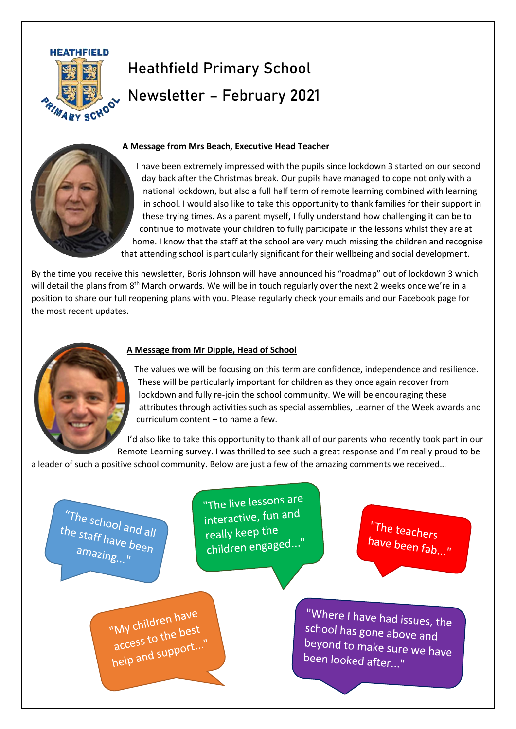

# Heathfield Primary School Newsletter – February 2021

# **A Message from Mrs Beach, Executive Head Teacher**

I have been extremely impressed with the pupils since lockdown 3 started on our second day back after the Christmas break. Our pupils have managed to cope not only with a national lockdown, but also a full half term of remote learning combined with learning in school. I would also like to take this opportunity to thank families for their support in these trying times. As a parent myself, I fully understand how challenging it can be to continue to motivate your children to fully participate in the lessons whilst they are at home. I know that the staff at the school are very much missing the children and recognise that attending school is particularly significant for their wellbeing and social development.

By the time you receive this newsletter, Boris Johnson will have announced his "roadmap" out of lockdown 3 which will detail the plans from 8<sup>th</sup> March onwards. We will be in touch regularly over the next 2 weeks once we're in a position to share our full reopening plans with you. Please regularly check your emails and our Facebook page for the most recent updates.



## **A Message from Mr Dipple, Head of School**

The values we will be focusing on this term are confidence, independence and resilience. These will be particularly important for children as they once again recover from lockdown and fully re-join the school community. We will be encouraging these attributes through activities such as special assemblies, Learner of the Week awards and curriculum content – to name a few.

I'd also like to take this opportunity to thank all of our parents who recently took part in our Remote Learning survey. I was thrilled to see such a great response and I'm really proud to be

a leader of such a positive school community. Below are just a few of the amazing comments we received…

"The school and all<br>he staff be the staff have been amazing..."

"The live lessons are interactive, fun and really keep the children engaged...

"The teachers have been fab..."

"My children have My childrennest<br>access to the best access to the best<br>help and support..."

"Where I have had issues, the school has gone above and beyond to make sure we have been looked after..."